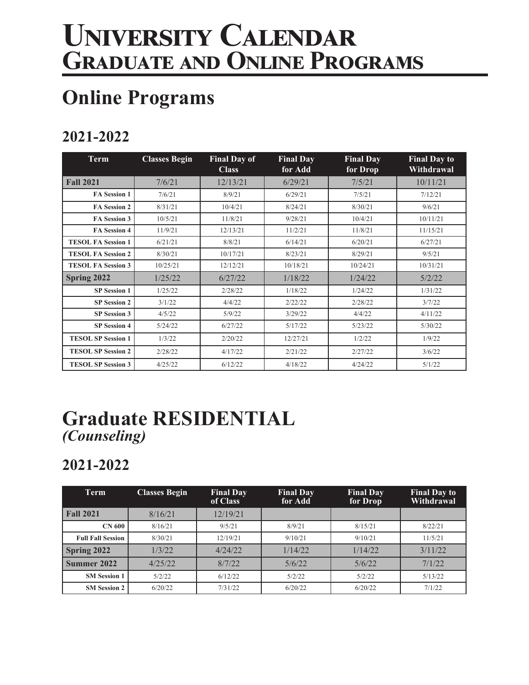# **University Calendar Graduate and Online Programs**

# **Online Programs**

### **2021-2022**

| <b>Term</b>               | <b>Classes Begin</b> | <b>Final Day of</b><br><b>Class</b> | <b>Final Day</b><br>for Add | <b>Final Day</b><br>for Drop | <b>Final Day to</b><br>Withdrawal |
|---------------------------|----------------------|-------------------------------------|-----------------------------|------------------------------|-----------------------------------|
| <b>Fall 2021</b>          | 7/6/21               | 12/13/21                            | 6/29/21                     | 7/5/21                       | 10/11/21                          |
| <b>FA Session 1</b>       | 7/6/21               | 8/9/21                              | 6/29/21                     | 7/5/21                       | 7/12/21                           |
| <b>FA Session 2</b>       | 8/31/21              | 10/4/21                             | 8/24/21                     | 8/30/21                      | 9/6/21                            |
| FA Session 3              | 10/5/21              | 11/8/21                             | 9/28/21                     | 10/4/21                      | 10/11/21                          |
| FA Session 4              | 11/9/21              | 12/13/21                            | 11/2/21                     | 11/8/21                      | 11/15/21                          |
| <b>TESOL FA Session 1</b> | 6/21/21              | 8/8/21                              | 6/14/21                     | 6/20/21                      | 6/27/21                           |
| <b>TESOL FA Session 2</b> | 8/30/21              | 10/17/21                            | 8/23/21                     | 8/29/21                      | 9/5/21                            |
| <b>TESOL FA Session 3</b> | 10/25/21             | 12/12/21                            | 10/18/21                    | 10/24/21                     | 10/31/21                          |
| Spring 2022               | 1/25/22              | 6/27/22                             | 1/18/22                     | 1/24/22                      | 5/2/22                            |
| <b>SP Session 1</b>       | 1/25/22              | 2/28/22                             | 1/18/22                     | 1/24/22                      | 1/31/22                           |
| <b>SP Session 2</b>       | 3/1/22               | 4/4/22                              | 2/22/22                     | 2/28/22                      | 3/7/22                            |
| <b>SP</b> Session 3       | 4/5/22               | 5/9/22                              | 3/29/22                     | 4/4/22                       | 4/11/22                           |
| <b>SP Session 4</b>       | 5/24/22              | 6/27/22                             | 5/17/22                     | 5/23/22                      | 5/30/22                           |
| <b>TESOL SP Session 1</b> | 1/3/22               | 2/20/22                             | 12/27/21                    | 1/2/22                       | 1/9/22                            |
| <b>TESOL SP Session 2</b> | 2/28/22              | 4/17/22                             | 2/21/22                     | 2/27/22                      | 3/6/22                            |
| <b>TESOL SP Session 3</b> | 4/25/22              | 6/12/22                             | 4/18/22                     | 4/24/22                      | 5/1/22                            |

### **Graduate RESIDENTIAL** *(Counseling)*

#### **2021-2022**

| Term                     | <b>Classes Begin</b> | <b>Final Day</b><br>of Class | <b>Final Day</b><br>for Add | <b>Final Day</b><br>for Drop | <b>Final Day to</b><br>Withdrawal |
|--------------------------|----------------------|------------------------------|-----------------------------|------------------------------|-----------------------------------|
| <b>Fall 2021</b>         | 8/16/21              | 12/19/21                     |                             |                              |                                   |
| <b>CN 600</b>            | 8/16/21              | 9/5/21                       | 8/9/21                      | 8/15/21                      | 8/22/21                           |
| <b>Full Fall Session</b> | 8/30/21              | 12/19/21                     | 9/10/21                     | 9/10/21                      | 11/5/21                           |
| Spring 2022              | 1/3/22               | 4/24/22                      | 1/14/22                     | 1/14/22                      | 3/11/22                           |
| Summer 2022              | 4/25/22              | 8/7/22                       | 5/6/22                      | 5/6/22                       | 7/1/22                            |
| <b>SM Session 1</b>      | 5/2/22               | 6/12/22                      | 5/2/22                      | 5/2/22                       | 5/13/22                           |
| <b>SM Session 2</b>      | 6/20/22              | 7/31/22                      | 6/20/22                     | 6/20/22                      | 7/1/22                            |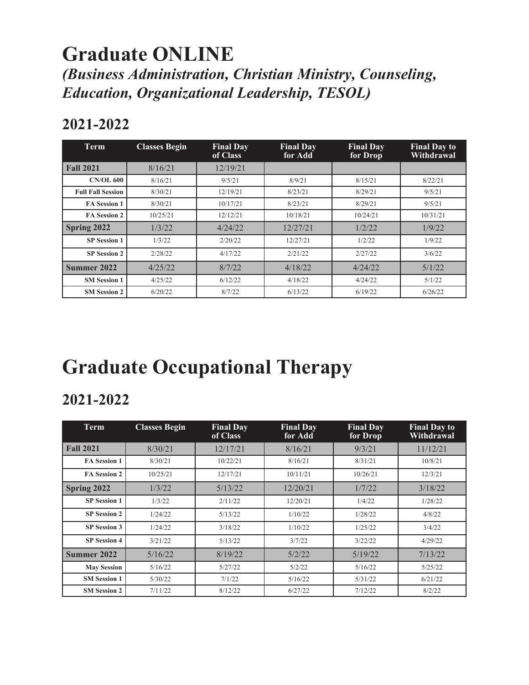### **Graduate ONLINE** *(Business Administration, Christian Ministry, Counseling, Education, Organizational Leadership, TESOL)*

#### **2021-2022**

| <b>Term</b>              | <b>Classes Begin</b> | <b>Final Day</b><br>of Class | <b>Final Day</b><br>for Add | <b>Final Day</b><br>for Drop | <b>Final Day to</b><br>Withdrawal |
|--------------------------|----------------------|------------------------------|-----------------------------|------------------------------|-----------------------------------|
| <b>Fall 2021</b>         | 8/16/21              | 12/19/21                     |                             |                              |                                   |
| <b>CN/OL 600</b>         | 8/16/21              | 9/5/21                       | 8/9/21                      | 8/15/21                      | 8/22/21                           |
| <b>Full Fall Session</b> | 8/30/21              | 12/19/21                     | 8/23/21                     | 8/29/21                      | 9/5/21                            |
| <b>FA Session 1</b>      | 8/30/21              | 10/17/21                     | 8/23/21                     | 8/29/21                      | 9/5/21                            |
| <b>FA Session 2</b>      | 10/25/21             | 12/12/21                     | 10/18/21                    | 10/24/21                     | 10/31/21                          |
| Spring 2022              | 1/3/22               | 4/24/22                      | 12/27/21                    | 1/2/22                       | 1/9/22                            |
| <b>SP</b> Session 1      | 1/3/22               | 2/20/22                      | 12/27/21                    | 1/2/22                       | 1/9/22                            |
| <b>SP</b> Session 2      | 2/28/22              | 4/17/22                      | 2/21/22                     | 2/27/22                      | 3/6/22                            |
| Summer 2022              | 4/25/22              | 8/7/22                       | 4/18/22                     | 4/24/22                      | 5/1/22                            |
| <b>SM Session 1</b>      | 4/25/22              | 6/12/22                      | 4/18/22                     | 4/24/22                      | 5/1/22                            |
| <b>SM Session 2</b>      | 6/20/22              | 8/7/22                       | 6/13/22                     | 6/19/22                      | 6/26/22                           |

# **Graduate Occupational Therapy**

#### **2021-2022**

| Term                | <b>Classes Begin</b> | <b>Final Day</b><br>of Class | <b>Final Day</b><br>for Add | <b>Final Day</b><br>for Drop | <b>Final Day to</b><br>Withdrawal |
|---------------------|----------------------|------------------------------|-----------------------------|------------------------------|-----------------------------------|
| <b>Fall 2021</b>    | 8/30/21              | 12/17/21                     | 8/16/21                     | 9/3/21                       | 11/12/21                          |
| <b>FA Session 1</b> | 8/30/21              | 10/22/21                     | 8/16/21                     | 8/31/21                      | 10/8/21                           |
| <b>FA Session 2</b> | 10/25/21             | 12/17/21                     | 10/11/21                    | 10/26/21                     | 12/3/21                           |
| Spring 2022         | 1/3/22               | 5/13/22                      | 12/20/21                    | 1/7/22                       | 3/18/22                           |
| <b>SP</b> Session 1 | 1/3/22               | 2/11/22                      | 12/20/21                    | 1/4/22                       | 1/28/22                           |
| <b>SP Session 2</b> | 1/24/22              | 5/13/22                      | 1/10/22                     | 1/28/22                      | 4/8/22                            |
| <b>SP</b> Session 3 | 1/24/22              | 3/18/22                      | 1/10/22                     | 1/25/22                      | 3/4/22                            |
| <b>SP Session 4</b> | 3/21/22              | 5/13/22                      | 3/7/22                      | 3/22/22                      | 4/29/22                           |
| Summer 2022         | 5/16/22              | 8/19/22                      | 5/2/22                      | 5/19/22                      | 7/13/22                           |
| <b>May Session</b>  | 5/16/22              | 5/27/22                      | 5/2/22                      | 5/16/22                      | 5/25/22                           |
| <b>SM Session 1</b> | 5/30/22              | 7/1/22                       | 5/16/22                     | 5/31/22                      | 6/21/22                           |
| <b>SM Session 2</b> | 7/11/22              | 8/12/22                      | 6/27/22                     | 7/12/22                      | 8/2/22                            |